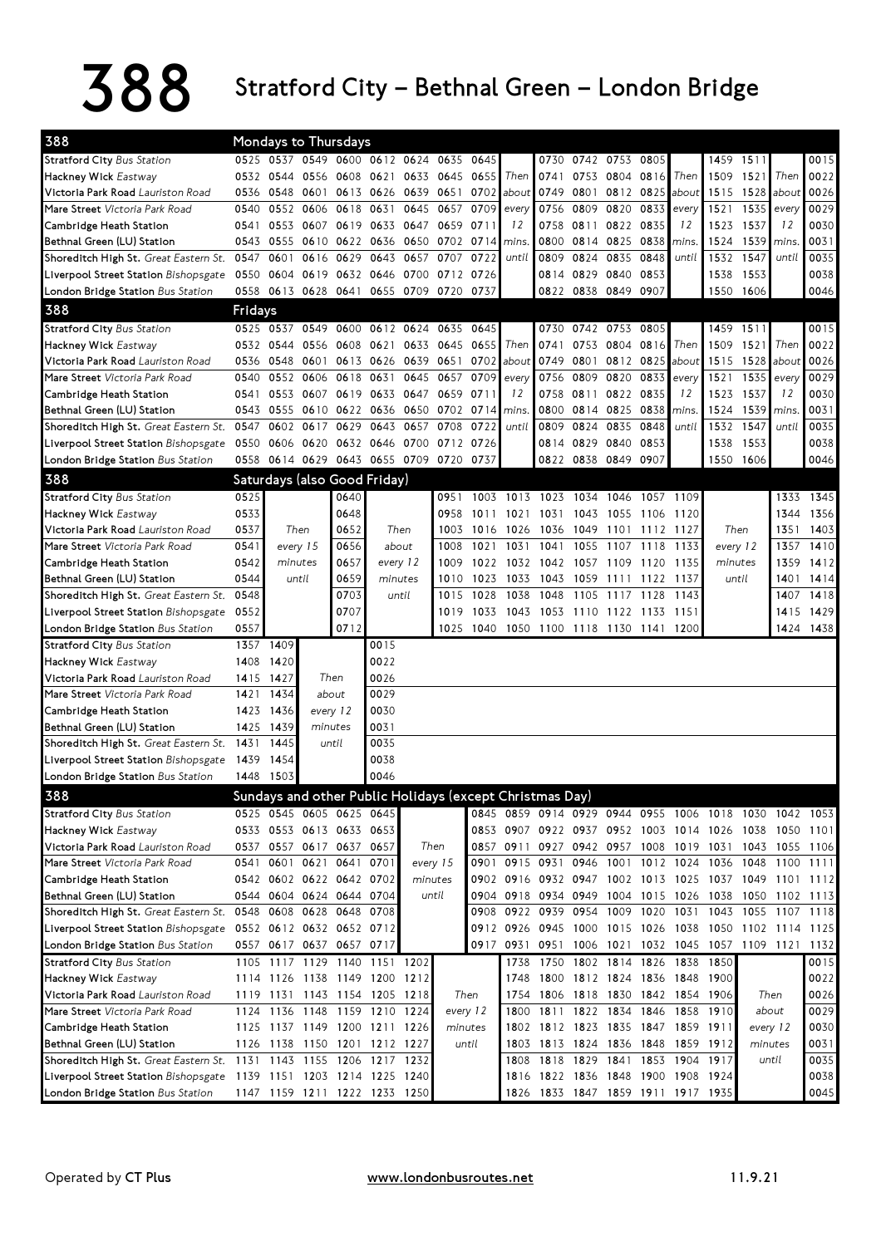## 388 Stratford City – Bethnal Green – London Bridge

| 388                                                                 | Mondays to Thursdays<br>0525 0537 0549 0600 0612 0624 0635 |                |                |                          |                                                          |                |           |          |           |                                    |                     |                |           |                               |                                                        |           |             |           |
|---------------------------------------------------------------------|------------------------------------------------------------|----------------|----------------|--------------------------|----------------------------------------------------------|----------------|-----------|----------|-----------|------------------------------------|---------------------|----------------|-----------|-------------------------------|--------------------------------------------------------|-----------|-------------|-----------|
| <b>Stratford City Bus Station</b>                                   |                                                            |                |                |                          |                                                          |                |           | 0645     |           |                                    | 0730 0742 0753 0805 |                |           |                               |                                                        | 1459 1511 |             | 0015      |
| Hackney Wick Eastway                                                |                                                            | 0532 0544 0556 |                | 0608                     | 0621                                                     | 0633           | 0645      | 0655     | Then      | 0741                               |                     | 0753 0804      | 0816      | Then                          | 1509                                                   | 1521      | Then        | 0022      |
| Victoria Park Road Lauriston Road                                   | 0536                                                       | 0548 0601      |                |                          | 0613 0626 0639                                           |                | 0651      | 0702     | about     | 0749                               | 0801                | 0812           | 0825      | about                         | 1515                                                   | 1528      | about       | 0026      |
| Mare Street Victoria Park Road                                      | 0540                                                       |                | 0552 0606      | 0618                     | 0631                                                     | 0645           | 0657      | 0709     | every     | 0756                               |                     | 0809 0820      | 0833      | every                         | 1521                                                   | 1535      | every       | 0029      |
| Cambridge Heath Station                                             | 0541                                                       |                |                | 0553 0607 0619           |                                                          | 0633 0647 0659 |           | 0711     | 12        | 0758                               | 0811 0822           |                | 0835      | 12                            | 1523                                                   | 1537      | 12          | 0030      |
| Bethnal Green (LU) Station                                          | 0543                                                       | 0555           | 0610           | 0622                     | 0636                                                     | 0650           | 0702      | 0714     | mins.     | 0800                               | 0814 0825           |                | 0838      | mins.                         | 1524                                                   | 1539      | <i>mins</i> | 0031      |
| Shoreditch High St. Great Eastern St. 0547                          |                                                            | 0601           | 0616           | 0629                     | 0643                                                     | 0657           | 0707      | 0722     | until     | 0809                               | 0824 0835           |                | 0848      | until                         | 1532                                                   | 1547      | until       | 0035      |
| Liverpool Street Station Bishopsgate                                | 0550                                                       |                |                |                          | 0604 0619 0632 0646 0700                                 |                | 0712      | 0726     |           |                                    | 0814 0829 0840      |                | 0853      |                               | 1538                                                   | 1553      |             | 0038      |
| London Bridge Station Bus Station                                   | 0558                                                       |                |                |                          | 0613 0628 0641 0655 0709 0720                            |                |           | 0737     |           |                                    | 0822 0838 0849      |                | 0907      |                               |                                                        | 1550 1606 |             | 0046      |
| 388                                                                 | Fridays                                                    |                |                |                          |                                                          |                |           |          |           |                                    |                     |                |           |                               |                                                        |           |             |           |
| <b>Stratford City Bus Station</b>                                   |                                                            | 0525 0537      | 0549           | 0600                     |                                                          | 0612 0624 0635 |           | 0645     |           | 0730                               |                     | 0742 0753 0805 |           |                               |                                                        | 1459 1511 |             | 0015      |
| Hackney Wick Eastway                                                |                                                            | 0532 0544      | 0556           | 0608                     | 0621                                                     | 0633           | 0645      | 0655     | Then      | 0741                               |                     | 0753 0804      | 0816      | Then                          | 1509                                                   | 1521      | Then        | 0022      |
| Victoria Park Road Lauriston Road                                   | 0536                                                       | 0548 0601      |                | 0613                     | 0626 0639                                                |                | 0651      | 0702     | about     | 0749                               | 0801                | 0812           | 0825      | about                         | 1515                                                   | 1528      | about       | 0026      |
| Mare Street Victoria Park Road                                      | 0540                                                       |                | 0552 0606      | 0618                     | 0631                                                     | 0645           | 0657      | 0709     | every     | 0756                               | 0809 0820           |                | 0833      | every                         | 1521                                                   | 1535      | every       | 0029      |
| Cambridge Heath Station                                             | 0541                                                       |                |                |                          | 0553 0607 0619 0633 0647 0659                            |                |           | 0711     | 12        |                                    | 0758 0811 0822      |                | 0835      | 12                            | 1523                                                   | 1537      | 12          | 0030      |
| Bethnal Green (LU) Station                                          | 0543                                                       | 0555 0610      |                | 0622                     | 0636                                                     | 0650           | 0702      | 0714     | mins.     | 0800                               |                     | 0814 0825      | 0838      | mins.                         | 1524                                                   | 1539      | mins.       | 0031      |
| Shoreditch High St. Great Eastern St.                               | 0547                                                       | 0602           | 0617           | 0629                     | 0643                                                     | 0657           | 0708      | 0722     | until     | 0809                               | 0824                | 0835           | 0848      | until                         | 1532                                                   | 1547      | until       | 0035      |
| Liverpool Street Station Bishopsgate                                | 0550                                                       |                | 0606 0620      |                          | 0632 0646 0700                                           |                | 0712 0726 |          |           |                                    | 0814 0829 0840      |                | 0853      |                               | 1538                                                   | 1553      |             | 0038      |
| London Bridge Station Bus Station                                   |                                                            | 0558 0614 0629 |                |                          | 0643 0655 0709 0720                                      |                |           | 0737     |           |                                    | 0822 0838 0849 0907 |                |           |                               |                                                        | 1550 1606 |             | 0046      |
| 388                                                                 |                                                            |                |                |                          | Saturdays (also Good Friday)                             |                |           |          |           |                                    |                     |                |           |                               |                                                        |           |             |           |
| <b>Stratford City Bus Station</b>                                   | 0525                                                       |                |                | 0640                     |                                                          |                | 0951      |          |           | 1003 1013 1023 1034 1046           |                     |                | 1057 1109 |                               |                                                        |           |             | 1333 1345 |
| Hackney Wick Eastway                                                | 0533                                                       |                |                | 0648                     |                                                          |                | 0958      |          | 1011 1021 | 1031 1043 1055                     |                     |                | 1106 1120 |                               |                                                        |           | 1344        | 1356      |
| Victoria Park Road Lauriston Road                                   | 0537                                                       |                | Then           | 0652                     |                                                          | Then           | 1003      |          | 1016 1026 |                                    | 1036 1049 1101      |                | 1112 1127 |                               | Then                                                   |           | 1351        | 1403      |
| Mare Street Victoria Park Road                                      | 0541                                                       |                | every 15       | 0656                     | about                                                    |                | 1008      | 1021     | 1031      | 1041                               | 1055                | 1107           | 1118      | 1133                          | every 12                                               |           | 1357        | 1410      |
| Cambridge Heath Station                                             | 0542                                                       |                | minutes        | 0657                     | every 12                                                 |                | 1009      |          |           | 1022 1032 1042 1057 1109           |                     |                | 1120      | 1135                          | minutes                                                |           | 1359        | 1412      |
| Bethnal Green (LU) Station                                          | 0544                                                       |                | until          | 0659                     | minutes                                                  |                | 1010      | 1023     | 1033      | 1043                               | 1059 1111           |                | 1122      | 1137                          |                                                        | until     | 1401        | 1414      |
| Shoreditch High St. Great Eastern St.                               | 0548                                                       |                |                | 0703                     |                                                          | until          | 1015      | 1028     | 1038      | 1048                               | 1105                | 1117           | 1128      | 1143                          |                                                        |           | 1407        | 1418      |
| Liverpool Street Station Bishopsgate                                | 0552                                                       |                |                | 0707                     |                                                          |                | 1019      | 1033     | 1043      | 1053 1110 1122 1133 1151           |                     |                |           |                               |                                                        |           | 1415        | 1429      |
| London Bridge Station Bus Station                                   | 0557                                                       |                |                | 0712                     |                                                          |                | 1025      |          |           | 1040 1050 1100 1118 1130 1141 1200 |                     |                |           |                               |                                                        |           |             | 1424 1438 |
| <b>Stratford City Bus Station</b>                                   |                                                            | 1357 1409      |                |                          | 0015                                                     |                |           |          |           |                                    |                     |                |           |                               |                                                        |           |             |           |
| Hackney Wick Eastway                                                | 1408                                                       | 1420           |                |                          | 0022                                                     |                |           |          |           |                                    |                     |                |           |                               |                                                        |           |             |           |
| Victoria Park Road Lauriston Road                                   | 1415                                                       | 1427           |                | Then                     | 0026                                                     |                |           |          |           |                                    |                     |                |           |                               |                                                        |           |             |           |
| Mare Street Victoria Park Road                                      | 1421                                                       | 1434           |                | about                    | 0029                                                     |                |           |          |           |                                    |                     |                |           |                               |                                                        |           |             |           |
| Cambridge Heath Station                                             |                                                            | 1423 1436      |                | every 12                 | 0030                                                     |                |           |          |           |                                    |                     |                |           |                               |                                                        |           |             |           |
| Bethnal Green (LU) Station                                          |                                                            | 1425 1439      | minutes        |                          | 0031                                                     |                |           |          |           |                                    |                     |                |           |                               |                                                        |           |             |           |
| Shoreditch High St. Great Eastern St.                               | 1431                                                       | 1445           |                | until                    | 0035                                                     |                |           |          |           |                                    |                     |                |           |                               |                                                        |           |             |           |
| Liverpool Street Station Bishopsgate                                | 1439                                                       | 1454           |                |                          | 0038                                                     |                |           |          |           |                                    |                     |                |           |                               |                                                        |           |             |           |
| London Bridge Station Bus Station                                   |                                                            | 1448 1503      |                |                          | 0046                                                     |                |           |          |           |                                    |                     |                |           |                               |                                                        |           |             |           |
| 388                                                                 |                                                            |                |                |                          | Sundays and other Public Holidays (except Christmas Day) |                |           |          |           |                                    |                     |                |           |                               |                                                        |           |             |           |
| <b>Stratford City Bus Station</b>                                   |                                                            |                |                | 0525 0545 0605 0625 0645 |                                                          |                |           |          |           |                                    |                     |                |           |                               | 0845 0859 0914 0929 0944 0955 1006 1018 1030 1042 1053 |           |             |           |
| Hackney Wick Eastway                                                |                                                            |                |                | 0533 0553 0613 0633 0653 |                                                          |                |           |          |           |                                    |                     |                |           |                               | 0853 0907 0922 0937 0952 1003 1014 1026 1038 1050 1101 |           |             |           |
| Victoria Park Road Lauriston Road                                   |                                                            |                |                | 0537 0557 0617 0637 0657 |                                                          |                | Then      |          |           |                                    |                     |                |           |                               | 0857 0911 0927 0942 0957 1008 1019 1031 1043 1055 1106 |           |             |           |
| Mare Street Victoria Park Road                                      | 0541                                                       |                | 0601 0621 0641 |                          | 0701                                                     |                | every 15  |          |           |                                    |                     |                |           |                               | 0901 0915 0931 0946 1001 1012 1024 1036 1048 1100      |           |             | 1111      |
| Cambridge Heath Station                                             |                                                            |                |                | 0542 0602 0622 0642 0702 |                                                          |                | minutes   |          |           |                                    |                     |                |           |                               | 0902 0916 0932 0947 1002 1013 1025 1037 1049 1101 1112 |           |             |           |
| Bethnal Green (LU) Station                                          |                                                            |                |                | 0544 0604 0624 0644 0704 |                                                          |                | until     |          |           |                                    |                     |                |           |                               | 0904 0918 0934 0949 1004 1015 1026 1038 1050 1102 1113 |           |             |           |
| Shoreditch High St. Great Eastern St.                               |                                                            |                |                | 0548 0608 0628 0648      | 0708                                                     |                |           |          |           | 0908 0922 0939 0954 1009           |                     |                | 1020      | 1031                          | 1043                                                   |           | 1055 1107   | 1118      |
| Liverpool Street Station Bishopsgate                                |                                                            |                |                | 0552 0612 0632 0652 0712 |                                                          |                |           |          |           |                                    |                     |                |           |                               | 0912 0926 0945 1000 1015 1026 1038 1050 1102 1114      |           |             | 1125      |
| London Bridge Station Bus Station                                   |                                                            |                |                | 0557 0617 0637 0657 0717 |                                                          |                |           |          |           |                                    |                     |                |           |                               | 0917 0931 0951 1006 1021 1032 1045 1057 1109 1121 1132 |           |             |           |
| <b>Stratford City Bus Station</b>                                   |                                                            |                |                |                          | 1105 1117 1129 1140 1151 1202                            |                |           |          | 1738      |                                    |                     |                |           | 1750 1802 1814 1826 1838      | 1850                                                   |           |             | 0015      |
| Hackney Wick Eastway                                                |                                                            |                |                |                          | 1114 1126 1138 1149 1200 1212                            |                |           |          | 1748      |                                    | 1800 1812 1824      |                |           |                               | 1836 1848 1900                                         |           |             | 0022      |
| Victoria Park Road Lauriston Road                                   |                                                            |                |                |                          | 1119 1131 1143 1154 1205 1218                            |                |           | Then     | 1754      | 1806 1818 1830                     |                     |                |           |                               | 1842 1854 1906                                         |           | Then        | 0026      |
| Mare Street Victoria Park Road                                      |                                                            | 1124 1136 1148 |                |                          | 1159 1210 1224                                           |                |           | every 12 | 1800      |                                    | 1811 1822 1834      |                |           | 1846 1858 1910                |                                                        |           | about       | 0029      |
| Cambridge Heath Station                                             |                                                            |                |                |                          | 1125 1137 1149 1200 1211 1226                            |                |           | minutes  | 1802      |                                    |                     |                |           | 1812 1823 1835 1847 1859 1911 |                                                        | every 12  |             | 0030      |
| Bethnal Green (LU) Station                                          |                                                            |                |                |                          | 1126 1138 1150 1201 1212 1227                            |                |           | until    | 1803      |                                    |                     |                |           | 1813 1824 1836 1848 1859 1912 |                                                        | minutes   |             | 0031      |
| Shoreditch High St. Great Eastern St. 1131 1143 1155 1206 1217 1232 |                                                            |                |                |                          |                                                          |                |           |          | 1808      |                                    |                     |                |           | 1818 1829 1841 1853 1904 1917 |                                                        |           | until       | 0035      |
| Liverpool Street Station Bishopsgate                                |                                                            |                |                |                          | 1139 1151 1203 1214 1225 1240                            |                |           |          | 1816      | 1822 1836 1848 1900 1908 1924      |                     |                |           |                               |                                                        |           |             | 0038      |
| London Bridge Station Bus Station                                   |                                                            |                |                |                          | 1147 1159 1211 1222 1233 1250                            |                |           |          |           | 1826 1833 1847 1859 1911 1917 1935 |                     |                |           |                               |                                                        |           |             | 0045      |